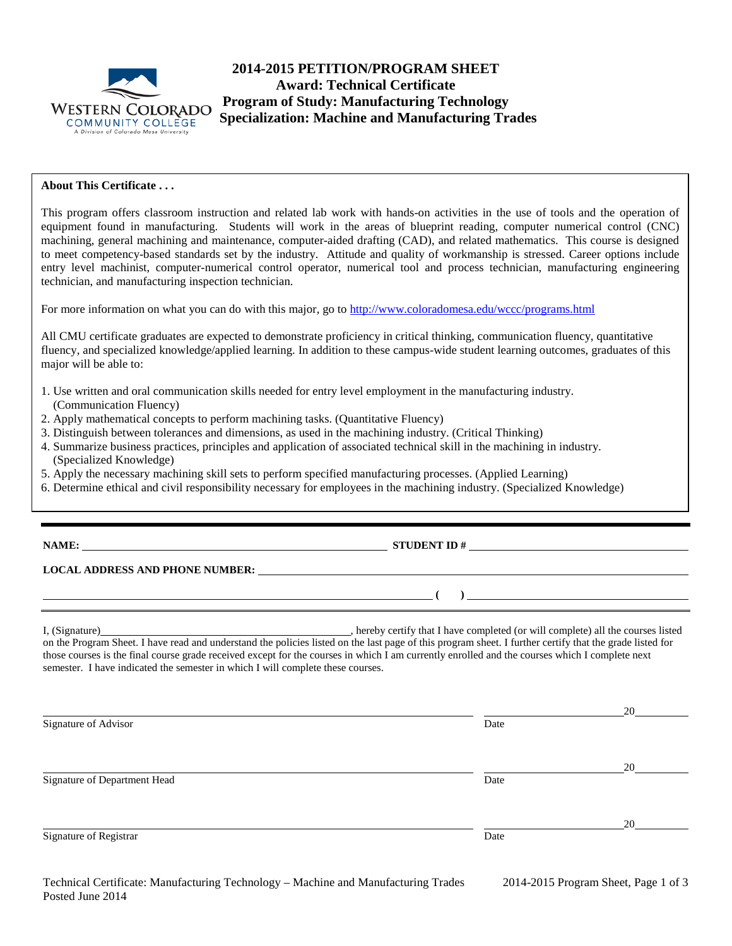

# **2014-2015 PETITION/PROGRAM SHEET Award: Technical Certificate Program of Study: Manufacturing Technology WESTERN COLORADO Trogram of Study: Manufacturing Technology**<br>COMMUNITY COLLEGE **Specialization: Machine and Manufacturing Trades**

## **About This Certificate . . .**

This program offers classroom instruction and related lab work with hands-on activities in the use of tools and the operation of equipment found in manufacturing. Students will work in the areas of blueprint reading, computer numerical control (CNC) machining, general machining and maintenance, computer-aided drafting (CAD), and related mathematics. This course is designed to meet competency-based standards set by the industry. Attitude and quality of workmanship is stressed. Career options include entry level machinist, computer-numerical control operator, numerical tool and process technician, manufacturing engineering technician, and manufacturing inspection technician.

For more information on what you can do with this major, go t[o http://www.coloradomesa.edu/wccc/programs.html](http://www.coloradomesa.edu/wccc/programs.html)

All CMU certificate graduates are expected to demonstrate proficiency in critical thinking, communication fluency, quantitative fluency, and specialized knowledge/applied learning. In addition to these campus-wide student learning outcomes, graduates of this major will be able to:

- 1. Use written and oral communication skills needed for entry level employment in the manufacturing industry. (Communication Fluency)
- 2. Apply mathematical concepts to perform machining tasks. (Quantitative Fluency)
- 3. Distinguish between tolerances and dimensions, as used in the machining industry. (Critical Thinking)
- 4. Summarize business practices, principles and application of associated technical skill in the machining in industry. (Specialized Knowledge)
- 5. Apply the necessary machining skill sets to perform specified manufacturing processes. (Applied Learning)
- 6. Determine ethical and civil responsibility necessary for employees in the machining industry. (Specialized Knowledge)

# **NAME: STUDENT ID #**

**( )** 

**LOCAL ADDRESS AND PHONE NUMBER:**

I, (Signature) , hereby certify that I have completed (or will complete) all the courses listed on the Program Sheet. I have read and understand the policies listed on the last page of this program sheet. I further certify that the grade listed for those courses is the final course grade received except for the courses in which I am currently enrolled and the courses which I complete next semester. I have indicated the semester in which I will complete these courses.

| Signature of Advisor         | Date | 20 |
|------------------------------|------|----|
|                              |      |    |
|                              |      | 20 |
| Signature of Department Head | Date |    |
|                              |      |    |
| Signature of Registrar       | Date | 20 |
|                              |      |    |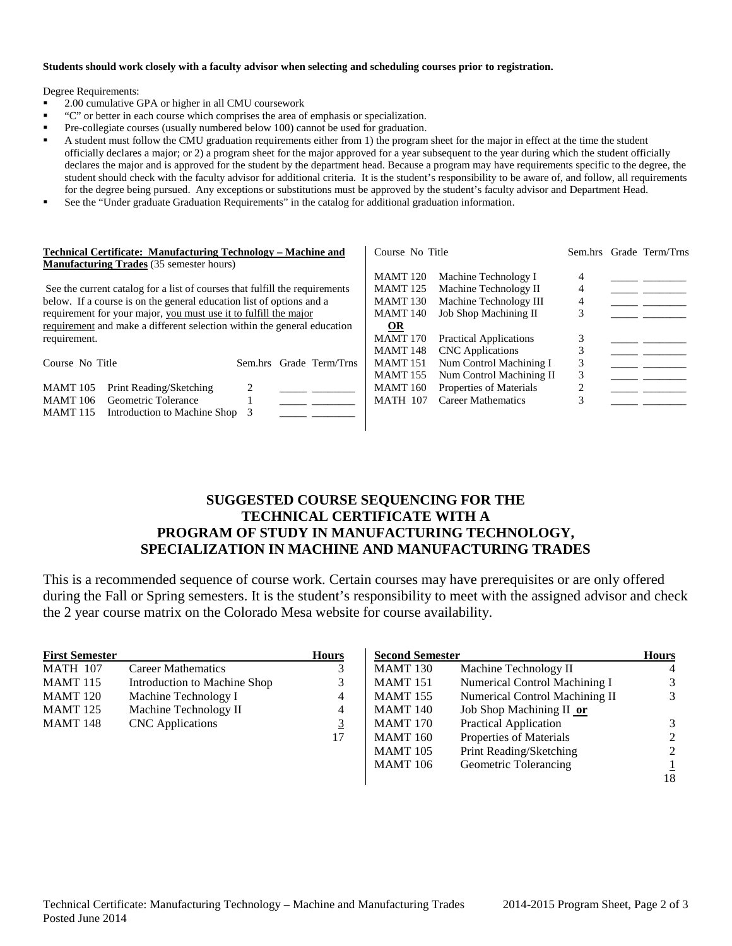#### **Students should work closely with a faculty advisor when selecting and scheduling courses prior to registration.**

Degree Requirements:

- 2.00 cumulative GPA or higher in all CMU coursework
- "C" or better in each course which comprises the area of emphasis or specialization.
- Pre-collegiate courses (usually numbered below 100) cannot be used for graduation.
- A student must follow the CMU graduation requirements either from 1) the program sheet for the major in effect at the time the student officially declares a major; or 2) a program sheet for the major approved for a year subsequent to the year during which the student officially declares the major and is approved for the student by the department head. Because a program may have requirements specific to the degree, the student should check with the faculty advisor for additional criteria. It is the student's responsibility to be aware of, and follow, all requirements for the degree being pursued. Any exceptions or substitutions must be approved by the student's faculty advisor and Department Head.
- See the "Under graduate Graduation Requirements" in the catalog for additional graduation information.

| Technical Certificate: Manufacturing Technology – Machine and<br><b>Manufacturing Trades</b> (35 semester hours) |                                                                             |         |                 | Course No Title        |                       |                               | Sem.hrs Grade Term/Trns |  |
|------------------------------------------------------------------------------------------------------------------|-----------------------------------------------------------------------------|---------|-----------------|------------------------|-----------------------|-------------------------------|-------------------------|--|
|                                                                                                                  |                                                                             |         |                 |                        | <b>MAMT</b> 120       | Machine Technology I          | 4                       |  |
|                                                                                                                  | See the current catalog for a list of courses that fulfill the requirements |         |                 |                        | <b>MAMT</b> 125       | Machine Technology II         | 4                       |  |
| below. If a course is on the general education list of options and a                                             |                                                                             |         | <b>MAMT 130</b> | Machine Technology III | 4                     |                               |                         |  |
| requirement for your major, you must use it to fulfill the major                                                 |                                                                             |         |                 | <b>MAMT</b> 140        | Job Shop Machining II |                               |                         |  |
|                                                                                                                  | requirement and make a different selection within the general education     |         |                 |                        | <b>OR</b>             |                               |                         |  |
| requirement.                                                                                                     |                                                                             |         |                 |                        | <b>MAMT</b> 170       | <b>Practical Applications</b> |                         |  |
|                                                                                                                  |                                                                             |         |                 |                        | <b>MAMT</b> 148       | <b>CNC</b> Applications       |                         |  |
| Course No Title                                                                                                  |                                                                             | Sem.hrs |                 | Grade Term/Trns        | <b>MAMT</b> 151       | Num Control Machining I       | 3                       |  |
|                                                                                                                  |                                                                             |         |                 |                        | <b>MAMT</b> 155       | Num Control Machining II      | 3                       |  |
| <b>MAMT</b> 105                                                                                                  | Print Reading/Sketching                                                     |         |                 |                        | <b>MAMT</b> 160       | Properties of Materials       |                         |  |
| <b>MAMT</b> 106                                                                                                  | Geometric Tolerance                                                         |         |                 |                        | <b>MATH 107</b>       | <b>Career Mathematics</b>     |                         |  |
| <b>MAMT</b> 115                                                                                                  | Introduction to Machine Shop                                                |         |                 |                        |                       |                               |                         |  |
|                                                                                                                  |                                                                             |         |                 |                        |                       |                               |                         |  |

## **SUGGESTED COURSE SEQUENCING FOR THE TECHNICAL CERTIFICATE WITH A PROGRAM OF STUDY IN MANUFACTURING TECHNOLOGY, SPECIALIZATION IN MACHINE AND MANUFACTURING TRADES**

This is a recommended sequence of course work. Certain courses may have prerequisites or are only offered during the Fall or Spring semesters. It is the student's responsibility to meet with the assigned advisor and check the 2 year course matrix on the Colorado Mesa website for course availability.

| <b>First Semester</b> |                              | <b>Hours</b>   |
|-----------------------|------------------------------|----------------|
| <b>MATH 107</b>       | Career Mathematics           | 3              |
| <b>MAMT 115</b>       | Introduction to Machine Shop | 3              |
| <b>MAMT</b> 120       | Machine Technology I         | 4              |
| <b>MAMT</b> 125       | Machine Technology II        | 4              |
| <b>MAMT</b> 148       | <b>CNC</b> Applications      | $\overline{3}$ |
|                       |                              | 17             |

| <b>Second Semester</b> |                                       | <b>Hours</b>   |
|------------------------|---------------------------------------|----------------|
| <b>MAMT 130</b>        | Machine Technology II                 |                |
| <b>MAMT</b> 151        | Numerical Control Machining I         |                |
| <b>MAMT</b> 155        | <b>Numerical Control Machining II</b> | 3              |
| <b>MAMT</b> 140        | Job Shop Machining II or              |                |
| <b>MAMT</b> 170        | <b>Practical Application</b>          | 3              |
| <b>MAMT</b> 160        | Properties of Materials               | 2              |
| <b>MAMT</b> 105        | Print Reading/Sketching               | $\mathfrak{D}$ |
| <b>MAMT</b> 106        | Geometric Tolerancing                 |                |
|                        |                                       | 18             |